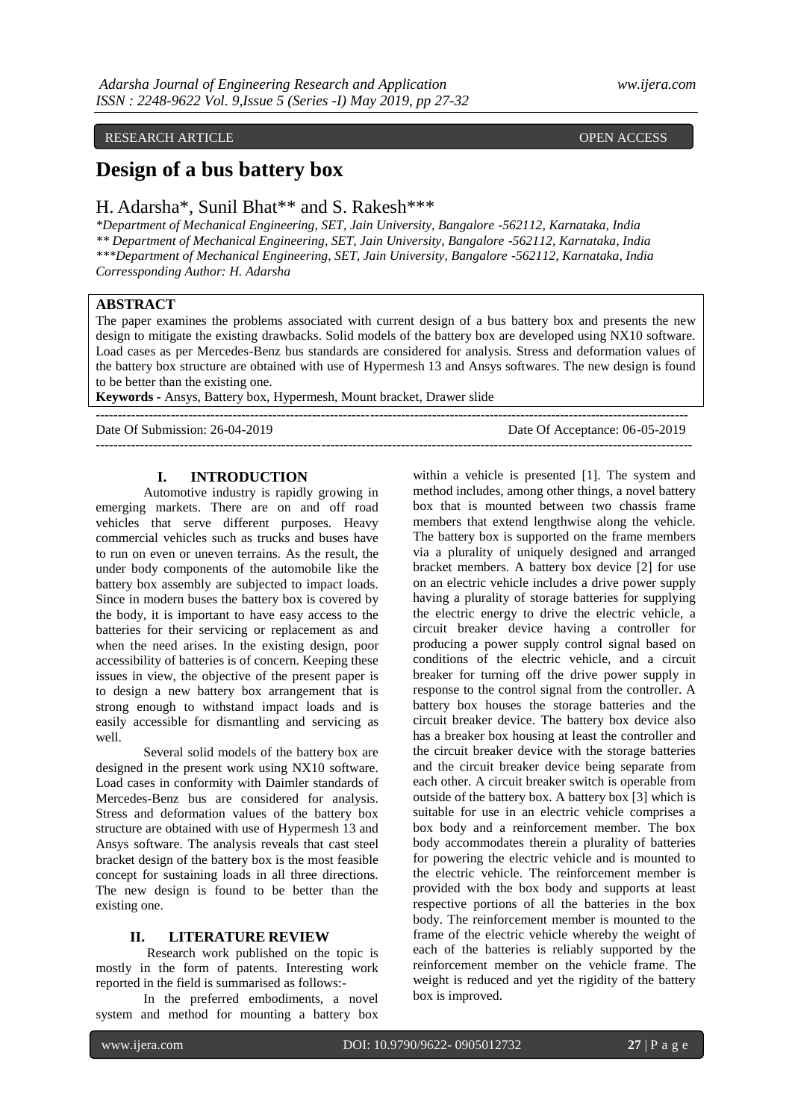# RESEARCH ARTICLE **CONSERVERS** OPEN ACCESS OPEN ACCESS

# **Design of a bus battery box**

# H. Adarsha\*, Sunil Bhat\*\* and S. Rakesh\*\*\*

*\*Department of Mechanical Engineering, SET, Jain University, Bangalore -562112, Karnataka, India \*\* Department of Mechanical Engineering, SET, Jain University, Bangalore -562112, Karnataka, India \*\*\*Department of Mechanical Engineering, SET, Jain University, Bangalore -562112, Karnataka, India Corressponding Author: H. Adarsha*

# **ABSTRACT**

The paper examines the problems associated with current design of a bus battery box and presents the new design to mitigate the existing drawbacks. Solid models of the battery box are developed using NX10 software. Load cases as per Mercedes-Benz bus standards are considered for analysis. Stress and deformation values of the battery box structure are obtained with use of Hypermesh 13 and Ansys softwares. The new design is found to be better than the existing one.

---------------------------------------------------------------------------------------------------------------------------------------

--------------------------------------------------------------------------------------------------------------------------------------

**Keywords -** Ansys, Battery box, Hypermesh, Mount bracket, Drawer slide

Date Of Submission: 26-04-2019 Date Of Acceptance: 06-05-2019

# **I. INTRODUCTION**

Automotive industry is rapidly growing in emerging markets. There are on and off road vehicles that serve different purposes. Heavy commercial vehicles such as trucks and buses have to run on even or uneven terrains. As the result, the under body components of the automobile like the battery box assembly are subjected to impact loads. Since in modern buses the battery box is covered by the body, it is important to have easy access to the batteries for their servicing or replacement as and when the need arises. In the existing design, poor accessibility of batteries is of concern. Keeping these issues in view, the objective of the present paper is to design a new battery box arrangement that is strong enough to withstand impact loads and is easily accessible for dismantling and servicing as well.

Several solid models of the battery box are designed in the present work using NX10 software. Load cases in conformity with Daimler standards of Mercedes-Benz bus are considered for analysis. Stress and deformation values of the battery box structure are obtained with use of Hypermesh 13 and Ansys software. The analysis reveals that cast steel bracket design of the battery box is the most feasible concept for sustaining loads in all three directions. The new design is found to be better than the existing one.

### **II. LITERATURE REVIEW**

Research work published on the topic is mostly in the form of patents. Interesting work reported in the field is summarised as follows:-

In the preferred embodiments, a novel system and method for mounting a battery box

within a vehicle is presented [1]. The system and method includes, among other things, a novel battery box that is mounted between two chassis frame members that extend lengthwise along the vehicle. The battery box is supported on the frame members via a plurality of uniquely designed and arranged bracket members. A battery box device [2] for use on an electric vehicle includes a drive power supply having a plurality of storage batteries for supplying the electric energy to drive the electric vehicle, a circuit breaker device having a controller for producing a power supply control signal based on conditions of the electric vehicle, and a circuit breaker for turning off the drive power supply in response to the control signal from the controller. A battery box houses the storage batteries and the circuit breaker device. The battery box device also has a breaker box housing at least the controller and the circuit breaker device with the storage batteries and the circuit breaker device being separate from each other. A circuit breaker switch is operable from outside of the battery box. A battery box [3] which is suitable for use in an electric vehicle comprises a box body and a reinforcement member. The box body accommodates therein a plurality of batteries for powering the electric vehicle and is mounted to the electric vehicle. The reinforcement member is provided with the box body and supports at least respective portions of all the batteries in the box body. The reinforcement member is mounted to the frame of the electric vehicle whereby the weight of each of the batteries is reliably supported by the reinforcement member on the vehicle frame. The weight is reduced and yet the rigidity of the battery box is improved.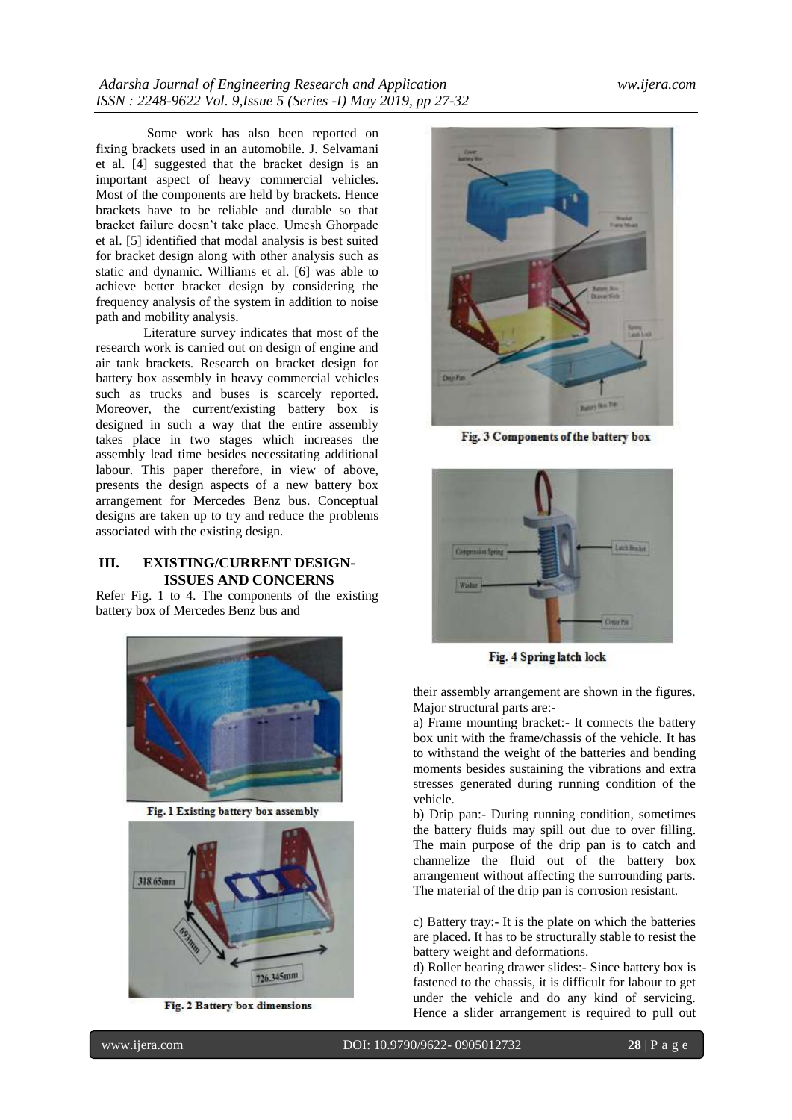Some work has also been reported on fixing brackets used in an automobile. J. Selvamani et al. [4] suggested that the bracket design is an important aspect of heavy commercial vehicles. Most of the components are held by brackets. Hence brackets have to be reliable and durable so that bracket failure doesn't take place. Umesh Ghorpade et al. [5] identified that modal analysis is best suited for bracket design along with other analysis such as static and dynamic. Williams et al. [6] was able to achieve better bracket design by considering the frequency analysis of the system in addition to noise path and mobility analysis.

Literature survey indicates that most of the research work is carried out on design of engine and air tank brackets. Research on bracket design for battery box assembly in heavy commercial vehicles such as trucks and buses is scarcely reported. Moreover, the current/existing battery box is designed in such a way that the entire assembly takes place in two stages which increases the assembly lead time besides necessitating additional labour. This paper therefore, in view of above, presents the design aspects of a new battery box arrangement for Mercedes Benz bus. Conceptual designs are taken up to try and reduce the problems associated with the existing design.

# **III. EXISTING/CURRENT DESIGN-ISSUES AND CONCERNS**

Refer Fig. 1 to 4. The components of the existing battery box of Mercedes Benz bus and



Fig. 1 Existing battery box assembly



Fig. 2 Battery box dimensions



Fig. 3 Components of the battery box



Fig. 4 Spring latch lock

their assembly arrangement are shown in the figures. Major structural parts are:-

a) Frame mounting bracket:- It connects the battery box unit with the frame/chassis of the vehicle. It has to withstand the weight of the batteries and bending moments besides sustaining the vibrations and extra stresses generated during running condition of the vehicle.

b) Drip pan:- During running condition, sometimes the battery fluids may spill out due to over filling. The main purpose of the drip pan is to catch and channelize the fluid out of the battery box arrangement without affecting the surrounding parts. The material of the drip pan is corrosion resistant.

c) Battery tray:- It is the plate on which the batteries are placed. It has to be structurally stable to resist the battery weight and deformations.

d) Roller bearing drawer slides:- Since battery box is fastened to the chassis, it is difficult for labour to get under the vehicle and do any kind of servicing. Hence a slider arrangement is required to pull out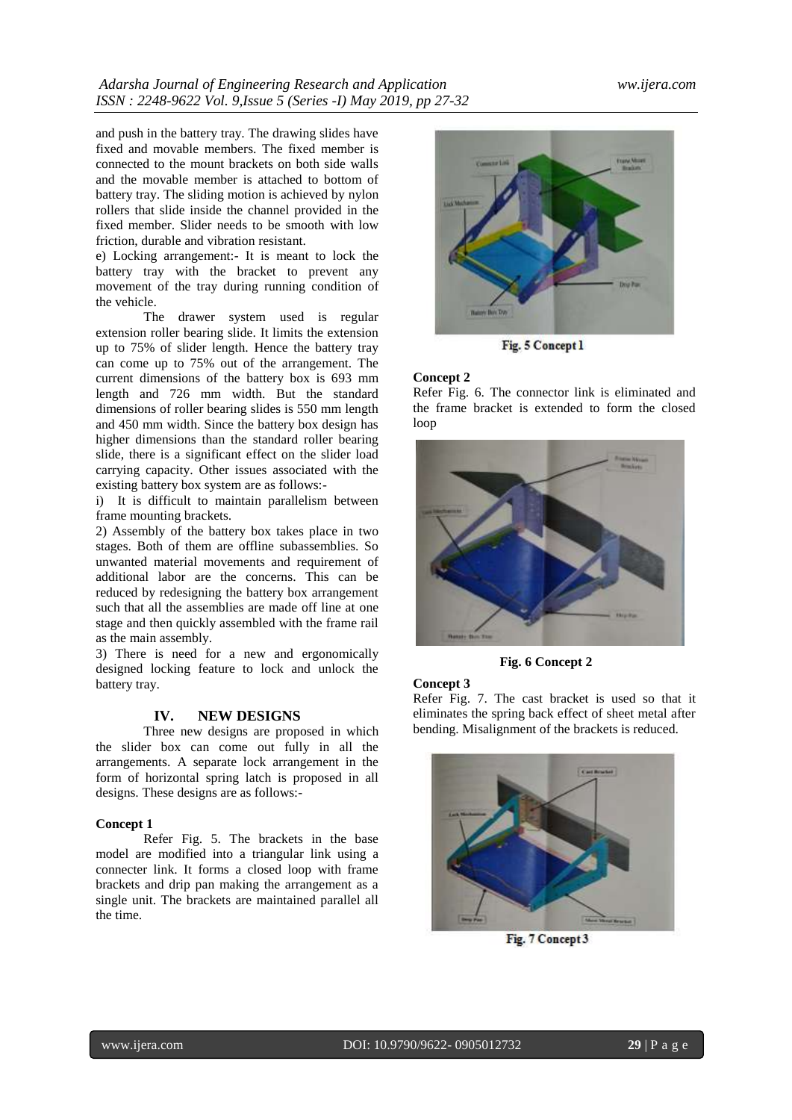and push in the battery tray. The drawing slides have fixed and movable members. The fixed member is connected to the mount brackets on both side walls and the movable member is attached to bottom of battery tray. The sliding motion is achieved by nylon rollers that slide inside the channel provided in the fixed member. Slider needs to be smooth with low friction, durable and vibration resistant.

e) Locking arrangement:- It is meant to lock the battery tray with the bracket to prevent any movement of the tray during running condition of the vehicle.

The drawer system used is regular extension roller bearing slide. It limits the extension up to 75% of slider length. Hence the battery tray can come up to 75% out of the arrangement. The current dimensions of the battery box is 693 mm length and 726 mm width. But the standard dimensions of roller bearing slides is 550 mm length and 450 mm width. Since the battery box design has higher dimensions than the standard roller bearing slide, there is a significant effect on the slider load carrying capacity. Other issues associated with the existing battery box system are as follows:-

i) It is difficult to maintain parallelism between frame mounting brackets.

2) Assembly of the battery box takes place in two stages. Both of them are offline subassemblies. So unwanted material movements and requirement of additional labor are the concerns. This can be reduced by redesigning the battery box arrangement such that all the assemblies are made off line at one stage and then quickly assembled with the frame rail as the main assembly.

3) There is need for a new and ergonomically designed locking feature to lock and unlock the battery tray.

### **IV. NEW DESIGNS**

Three new designs are proposed in which the slider box can come out fully in all the arrangements. A separate lock arrangement in the form of horizontal spring latch is proposed in all designs. These designs are as follows:-

### **Concept 1**

Refer Fig. 5. The brackets in the base model are modified into a triangular link using a connecter link. It forms a closed loop with frame brackets and drip pan making the arrangement as a single unit. The brackets are maintained parallel all the time.



Fig. 5 Concept 1

#### **Concept 2**

Refer Fig. 6. The connector link is eliminated and the frame bracket is extended to form the closed loop



**Fig. 6 Concept 2**

# **Concept 3**

Refer Fig. 7. The cast bracket is used so that it eliminates the spring back effect of sheet metal after bending. Misalignment of the brackets is reduced.



Fig. 7 Concept 3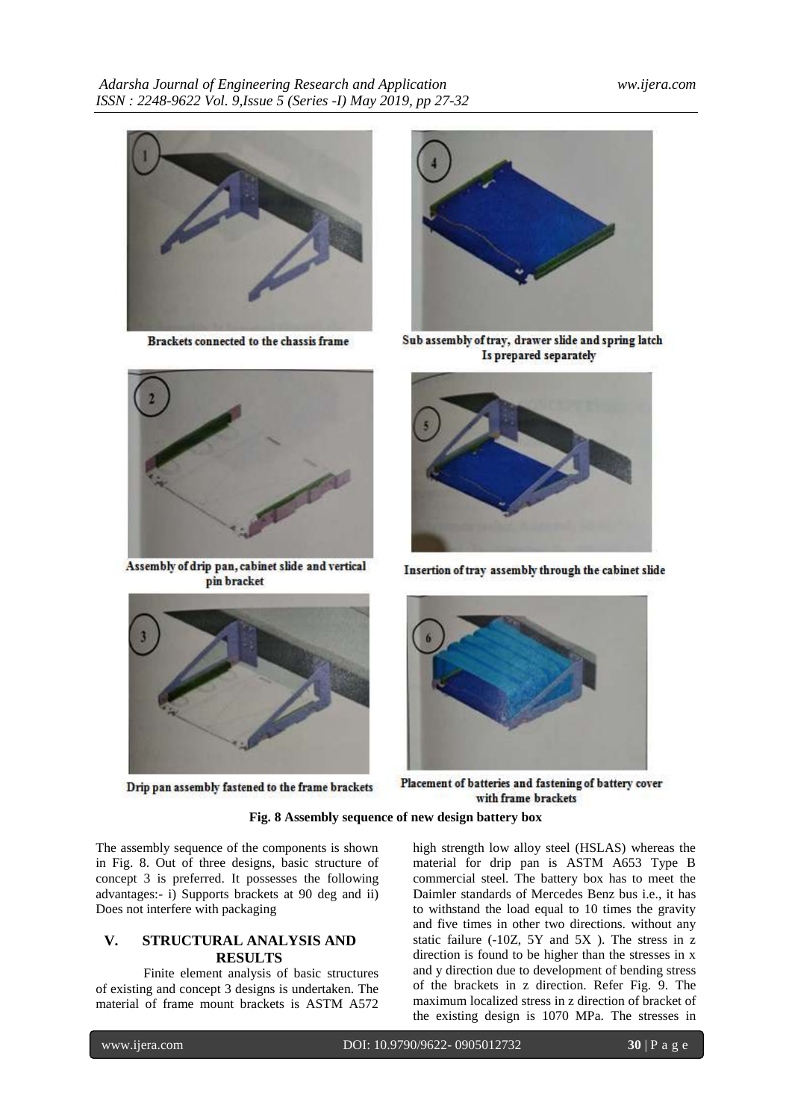

Brackets connected to the chassis frame



Assembly of drip pan, cabinet slide and vertical pin bracket



Drip pan assembly fastened to the frame brackets



Sub assembly of tray, drawer slide and spring latch Is prepared separately



Insertion of tray assembly through the cabinet slide



Placement of batteries and fastening of battery cover with frame brackets

# **Fig. 8 Assembly sequence of new design battery box**

The assembly sequence of the components is shown in Fig. 8. Out of three designs, basic structure of concept 3 is preferred. It possesses the following advantages:- i) Supports brackets at 90 deg and ii) Does not interfere with packaging

# **V. STRUCTURAL ANALYSIS AND RESULTS**

Finite element analysis of basic structures of existing and concept 3 designs is undertaken. The material of frame mount brackets is ASTM A572 high strength low alloy steel (HSLAS) whereas the material for drip pan is ASTM A653 Type B commercial steel. The battery box has to meet the Daimler standards of Mercedes Benz bus i.e., it has to withstand the load equal to 10 times the gravity and five times in other two directions. without any static failure (-10Z, 5Y and 5X ). The stress in z direction is found to be higher than the stresses in x and y direction due to development of bending stress of the brackets in z direction. Refer Fig. 9. The maximum localized stress in z direction of bracket of the existing design is 1070 MPa. The stresses in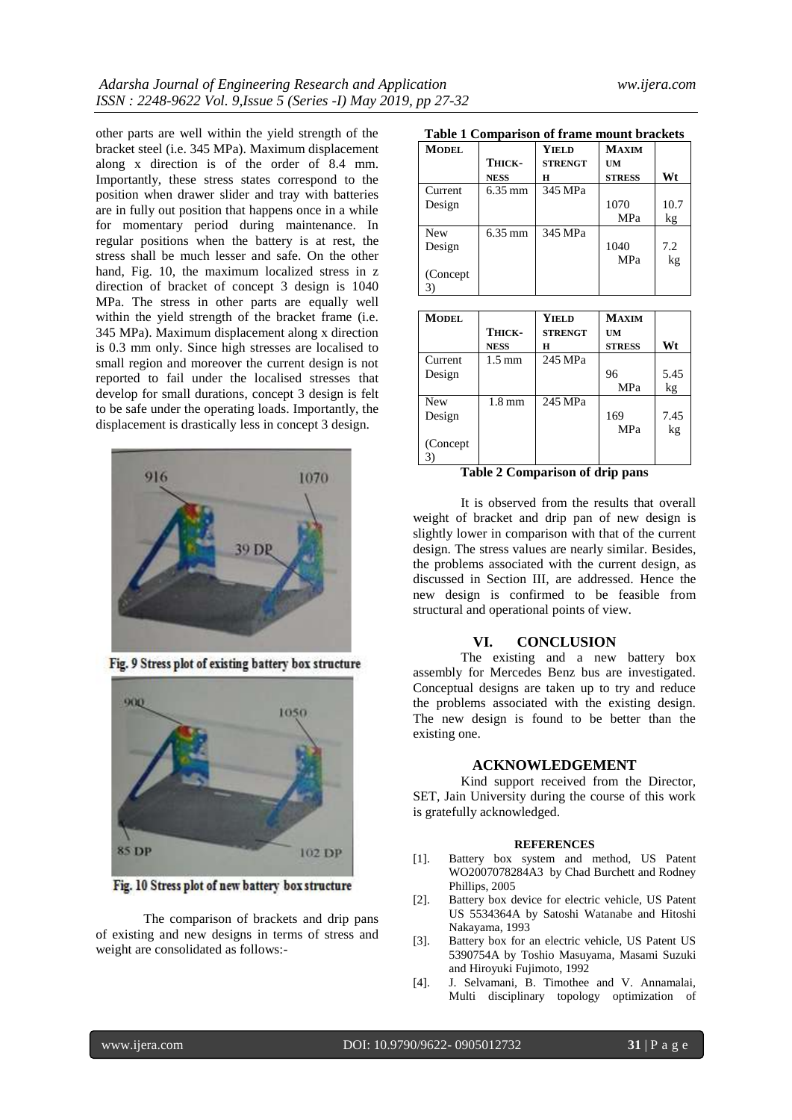other parts are well within the yield strength of the bracket steel (i.e. 345 MPa). Maximum displacement along x direction is of the order of 8.4 mm. Importantly, these stress states correspond to the position when drawer slider and tray with batteries are in fully out position that happens once in a while for momentary period during maintenance. In regular positions when the battery is at rest, the stress shall be much lesser and safe. On the other hand, Fig. 10, the maximum localized stress in z direction of bracket of concept 3 design is 1040 MPa. The stress in other parts are equally well within the yield strength of the bracket frame (i.e. 345 MPa). Maximum displacement along x direction is 0.3 mm only. Since high stresses are localised to small region and moreover the current design is not reported to fail under the localised stresses that develop for small durations, concept 3 design is felt to be safe under the operating loads. Importantly, the displacement is drastically less in concept 3 design.



Fig. 9 Stress plot of existing battery box structure



Fig. 10 Stress plot of new battery box structure

The comparison of brackets and drip pans of existing and new designs in terms of stress and weight are consolidated as follows:-

|  |  | Table 1 Comparison of frame mount brackets |  |  |  |  |  |
|--|--|--------------------------------------------|--|--|--|--|--|
|--|--|--------------------------------------------|--|--|--|--|--|

| Table 1 Comparison of Hame mount brackets |             |                |               |      |  |  |  |
|-------------------------------------------|-------------|----------------|---------------|------|--|--|--|
| <b>MODEL</b>                              |             | <b>YIELD</b>   | <b>MAXIM</b>  |      |  |  |  |
|                                           | Тніск-      | <b>STRENGT</b> | UM            |      |  |  |  |
|                                           | <b>NESS</b> | н              | <b>STRESS</b> | Wt   |  |  |  |
| Current                                   | 6.35 mm     | 345 MPa        |               |      |  |  |  |
| Design                                    |             |                | 1070          | 10.7 |  |  |  |
|                                           |             |                | MPa           | kg   |  |  |  |
| <b>New</b>                                | 6.35 mm     | 345 MPa        |               |      |  |  |  |
| Design                                    |             |                | 1040          | 7.2  |  |  |  |
|                                           |             |                | MPa           | kg   |  |  |  |
| (Concept)                                 |             |                |               |      |  |  |  |
|                                           |             |                |               |      |  |  |  |

| <b>MODEL</b> |                  | <b>YIELD</b>   | <b>MAXIM</b>  |      |
|--------------|------------------|----------------|---------------|------|
|              | Тніск-           | <b>STRENGT</b> | <b>UM</b>     |      |
|              | <b>NESS</b>      | Н              | <b>STRESS</b> | Wt   |
| Current      | $1.5 \text{ mm}$ | 245 MPa        |               |      |
| Design       |                  |                | 96            | 5.45 |
|              |                  |                | MPa           | kg   |
| <b>New</b>   | $1.8 \text{ mm}$ | 245 MPa        |               |      |
| Design       |                  |                | 169           | 7.45 |
|              |                  |                | <b>MPa</b>    | kg   |
| (Concept)    |                  |                |               |      |
|              |                  |                |               |      |

**Table 2 Comparison of drip pans**

It is observed from the results that overall weight of bracket and drip pan of new design is slightly lower in comparison with that of the current design. The stress values are nearly similar. Besides, the problems associated with the current design, as discussed in Section III, are addressed. Hence the new design is confirmed to be feasible from structural and operational points of view.

# **VI. CONCLUSION**

The existing and a new battery box assembly for Mercedes Benz bus are investigated. Conceptual designs are taken up to try and reduce the problems associated with the existing design. The new design is found to be better than the existing one.

### **ACKNOWLEDGEMENT**

Kind support received from the Director, SET, Jain University during the course of this work is gratefully acknowledged.

### **REFERENCES**

- [1]. Battery box system and method, US Patent WO2007078284A3 by Chad Burchett and Rodney Phillips, 2005
- [2]. Battery box device for electric vehicle, US Patent US 5534364A by Satoshi Watanabe and Hitoshi Nakayama, 1993
- [3]. Battery box for an electric vehicle, US Patent US 5390754A by [Toshio Masuyama,](https://patents.google.com/?inventor=Toshio+Masuyama) [Masami Suzuki](https://patents.google.com/?inventor=Masami+Suzuki) an[d Hiroyuki Fujimoto,](https://patents.google.com/?inventor=Hiroyuki+Fujimoto) 1992
- [4]. J. Selvamani, B. Timothee and V. Annamalai, Multi disciplinary topology optimization of